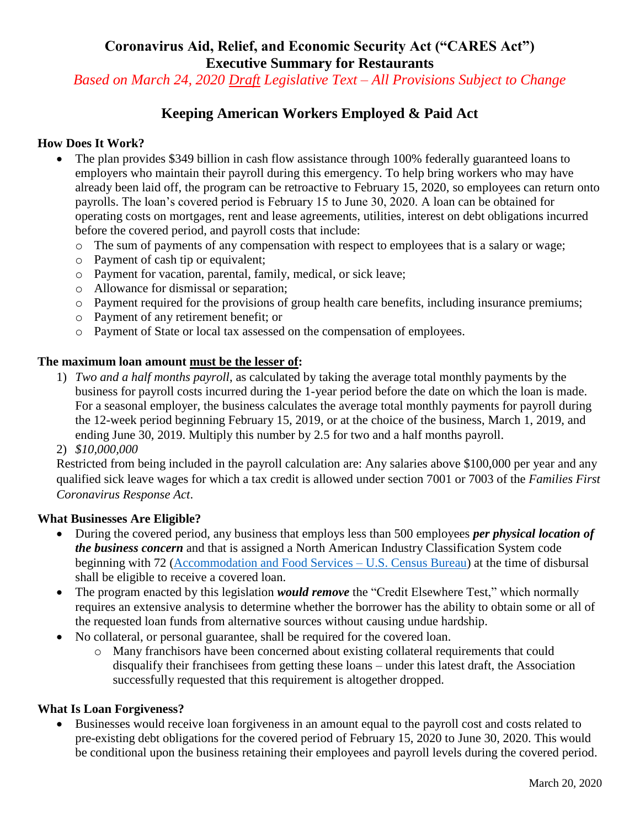**Coronavirus Aid, Relief, and Economic Security Act ("CARES Act") Executive Summary for Restaurants**

*Based on March 24, 2020 Draft Legislative Text – All Provisions Subject to Change*

# **Keeping American Workers Employed & Paid Act**

### **How Does It Work?**

- The plan provides \$349 billion in cash flow assistance through 100% federally guaranteed loans to employers who maintain their payroll during this emergency. To help bring workers who may have already been laid off, the program can be retroactive to February 15, 2020, so employees can return onto payrolls. The loan's covered period is February 15 to June 30, 2020. A loan can be obtained for operating costs on mortgages, rent and lease agreements, utilities, interest on debt obligations incurred before the covered period, and payroll costs that include:
	- o The sum of payments of any compensation with respect to employees that is a salary or wage;
	- o Payment of cash tip or equivalent;
	- o Payment for vacation, parental, family, medical, or sick leave;
	- o Allowance for dismissal or separation;
	- o Payment required for the provisions of group health care benefits, including insurance premiums;
	- o Payment of any retirement benefit; or
	- o Payment of State or local tax assessed on the compensation of employees.

#### **The maximum loan amount must be the lesser of:**

- 1) *Two and a half months payroll*, as calculated by taking the average total monthly payments by the business for payroll costs incurred during the 1-year period before the date on which the loan is made. For a seasonal employer, the business calculates the average total monthly payments for payroll during the 12-week period beginning February 15, 2019, or at the choice of the business, March 1, 2019, and ending June 30, 2019. Multiply this number by 2.5 for two and a half months payroll.
- 2) *\$10,000,000*

Restricted from being included in the payroll calculation are: Any salaries above \$100,000 per year and any qualified sick leave wages for which a tax credit is allowed under section 7001 or 7003 of the *Families First Coronavirus Response Act*.

#### **What Businesses Are Eligible?**

- During the covered period, any business that employs less than 500 employees *per physical location of the business concern* and that is assigned a North American Industry Classification System code beginning with 72 [\(Accommodation and Food Services –](https://www.census.gov/econ/isp/sampler.php?naicscode=72&naicslevel=2) U.S. Census Bureau) at the time of disbursal shall be eligible to receive a covered loan.
- The program enacted by this legislation *would remove* the "Credit Elsewhere Test," which normally requires an extensive analysis to determine whether the borrower has the ability to obtain some or all of the requested loan funds from alternative sources without causing undue hardship.
- No collateral, or personal guarantee, shall be required for the covered loan.
	- o Many franchisors have been concerned about existing collateral requirements that could disqualify their franchisees from getting these loans – under this latest draft, the Association successfully requested that this requirement is altogether dropped.

#### **What Is Loan Forgiveness?**

 Businesses would receive loan forgiveness in an amount equal to the payroll cost and costs related to pre-existing debt obligations for the covered period of February 15, 2020 to June 30, 2020. This would be conditional upon the business retaining their employees and payroll levels during the covered period.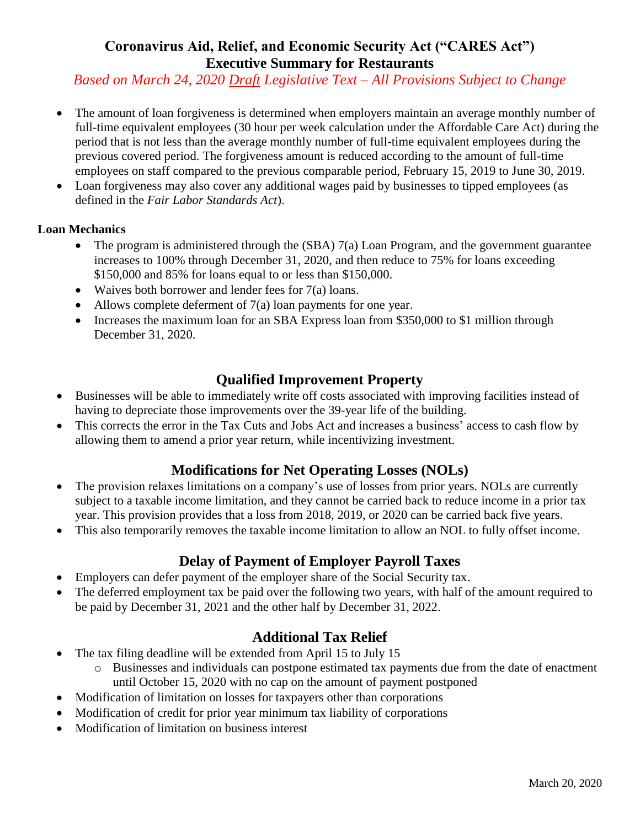# **Coronavirus Aid, Relief, and Economic Security Act ("CARES Act") Executive Summary for Restaurants**

*Based on March 24, 2020 Draft Legislative Text – All Provisions Subject to Change*

- The amount of loan forgiveness is determined when employers maintain an average monthly number of full-time equivalent employees (30 hour per week calculation under the Affordable Care Act) during the period that is not less than the average monthly number of full-time equivalent employees during the previous covered period. The forgiveness amount is reduced according to the amount of full-time employees on staff compared to the previous comparable period, February 15, 2019 to June 30, 2019.
- Loan forgiveness may also cover any additional wages paid by businesses to tipped employees (as defined in the *Fair Labor Standards Act*).

### **Loan Mechanics**

- The program is administered through the (SBA) 7(a) Loan Program, and the government guarantee increases to 100% through December 31, 2020, and then reduce to 75% for loans exceeding \$150,000 and 85% for loans equal to or less than \$150,000.
- Waives both borrower and lender fees for  $7(a)$  loans.
- Allows complete deferment of  $7(a)$  loan payments for one year.
- Increases the maximum loan for an SBA Express loan from \$350,000 to \$1 million through December 31, 2020.

## **Qualified Improvement Property**

- Businesses will be able to immediately write off costs associated with improving facilities instead of having to depreciate those improvements over the 39-year life of the building.
- This corrects the error in the Tax Cuts and Jobs Act and increases a business' access to cash flow by allowing them to amend a prior year return, while incentivizing investment.

# **Modifications for Net Operating Losses (NOLs)**

- The provision relaxes limitations on a company's use of losses from prior years. NOLs are currently subject to a taxable income limitation, and they cannot be carried back to reduce income in a prior tax year. This provision provides that a loss from 2018, 2019, or 2020 can be carried back five years.
- This also temporarily removes the taxable income limitation to allow an NOL to fully offset income.

## **Delay of Payment of Employer Payroll Taxes**

- Employers can defer payment of the employer share of the Social Security tax.
- The deferred employment tax be paid over the following two years, with half of the amount required to be paid by December 31, 2021 and the other half by December 31, 2022.

## **Additional Tax Relief**

- The tax filing deadline will be extended from April 15 to July 15
	- o Businesses and individuals can postpone estimated tax payments due from the date of enactment until October 15, 2020 with no cap on the amount of payment postponed
- Modification of limitation on losses for taxpayers other than corporations
- Modification of credit for prior year minimum tax liability of corporations
- Modification of limitation on business interest